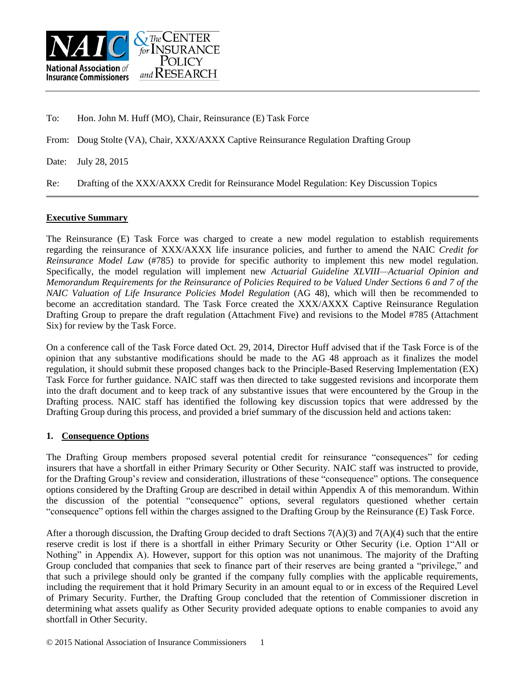

To: Hon. John M. Huff (MO), Chair, Reinsurance (E) Task Force

From: Doug Stolte (VA), Chair, XXX/AXXX Captive Reinsurance Regulation Drafting Group

Date: July 28, 2015

Re: Drafting of the XXX/AXXX Credit for Reinsurance Model Regulation: Key Discussion Topics

#### **Executive Summary**

The Reinsurance (E) Task Force was charged to create a new model regulation to establish requirements regarding the reinsurance of XXX/AXXX life insurance policies, and further to amend the NAIC *Credit for Reinsurance Model Law* (#785) to provide for specific authority to implement this new model regulation. Specifically, the model regulation will implement new *Actuarial Guideline XLVIII—Actuarial Opinion and Memorandum Requirements for the Reinsurance of Policies Required to be Valued Under Sections 6 and 7 of the NAIC Valuation of Life Insurance Policies Model Regulation* (AG 48), which will then be recommended to become an accreditation standard. The Task Force created the XXX/AXXX Captive Reinsurance Regulation Drafting Group to prepare the draft regulation (Attachment Five) and revisions to the Model #785 (Attachment Six) for review by the Task Force.

On a conference call of the Task Force dated Oct. 29, 2014, Director Huff advised that if the Task Force is of the opinion that any substantive modifications should be made to the AG 48 approach as it finalizes the model regulation, it should submit these proposed changes back to the Principle-Based Reserving Implementation (EX) Task Force for further guidance. NAIC staff was then directed to take suggested revisions and incorporate them into the draft document and to keep track of any substantive issues that were encountered by the Group in the Drafting process. NAIC staff has identified the following key discussion topics that were addressed by the Drafting Group during this process, and provided a brief summary of the discussion held and actions taken:

### **1. Consequence Options**

The Drafting Group members proposed several potential credit for reinsurance "consequences" for ceding insurers that have a shortfall in either Primary Security or Other Security. NAIC staff was instructed to provide, for the Drafting Group's review and consideration, illustrations of these "consequence" options. The consequence options considered by the Drafting Group are described in detail within Appendix A of this memorandum. Within the discussion of the potential "consequence" options, several regulators questioned whether certain "consequence" options fell within the charges assigned to the Drafting Group by the Reinsurance (E) Task Force.

After a thorough discussion, the Drafting Group decided to draft Sections  $7(A)(3)$  and  $7(A)(4)$  such that the entire reserve credit is lost if there is a shortfall in either Primary Security or Other Security (i.e. Option 1"All or Nothing" in Appendix A). However, support for this option was not unanimous. The majority of the Drafting Group concluded that companies that seek to finance part of their reserves are being granted a "privilege," and that such a privilege should only be granted if the company fully complies with the applicable requirements, including the requirement that it hold Primary Security in an amount equal to or in excess of the Required Level of Primary Security. Further, the Drafting Group concluded that the retention of Commissioner discretion in determining what assets qualify as Other Security provided adequate options to enable companies to avoid any shortfall in Other Security.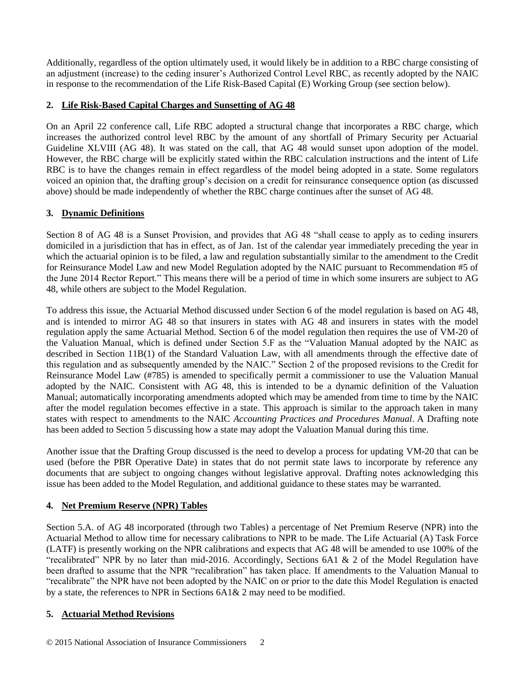Additionally, regardless of the option ultimately used, it would likely be in addition to a RBC charge consisting of an adjustment (increase) to the ceding insurer's Authorized Control Level RBC, as recently adopted by the NAIC in response to the recommendation of the Life Risk-Based Capital (E) Working Group (see section below).

# **2. Life Risk-Based Capital Charges and Sunsetting of AG 48**

On an April 22 conference call, Life RBC adopted a structural change that incorporates a RBC charge, which increases the authorized control level RBC by the amount of any shortfall of Primary Security per Actuarial Guideline XLVIII (AG 48). It was stated on the call, that AG 48 would sunset upon adoption of the model. However, the RBC charge will be explicitly stated within the RBC calculation instructions and the intent of Life RBC is to have the changes remain in effect regardless of the model being adopted in a state. Some regulators voiced an opinion that, the drafting group's decision on a credit for reinsurance consequence option (as discussed above) should be made independently of whether the RBC charge continues after the sunset of AG 48.

# **3. Dynamic Definitions**

Section 8 of AG 48 is a Sunset Provision, and provides that AG 48 "shall cease to apply as to ceding insurers domiciled in a jurisdiction that has in effect, as of Jan. 1st of the calendar year immediately preceding the year in which the actuarial opinion is to be filed, a law and regulation substantially similar to the amendment to the Credit for Reinsurance Model Law and new Model Regulation adopted by the NAIC pursuant to Recommendation #5 of the June 2014 Rector Report." This means there will be a period of time in which some insurers are subject to AG 48, while others are subject to the Model Regulation.

To address this issue, the Actuarial Method discussed under Section 6 of the model regulation is based on AG 48, and is intended to mirror AG 48 so that insurers in states with AG 48 and insurers in states with the model regulation apply the same Actuarial Method. Section 6 of the model regulation then requires the use of VM-20 of the Valuation Manual, which is defined under Section 5.F as the "Valuation Manual adopted by the NAIC as described in Section 11B(1) of the Standard Valuation Law, with all amendments through the effective date of this regulation and as subsequently amended by the NAIC." Section 2 of the proposed revisions to the Credit for Reinsurance Model Law (#785) is amended to specifically permit a commissioner to use the Valuation Manual adopted by the NAIC. Consistent with AG 48, this is intended to be a dynamic definition of the Valuation Manual; automatically incorporating amendments adopted which may be amended from time to time by the NAIC after the model regulation becomes effective in a state. This approach is similar to the approach taken in many states with respect to amendments to the NAIC *Accounting Practices and Procedures Manual*. A Drafting note has been added to Section 5 discussing how a state may adopt the Valuation Manual during this time.

Another issue that the Drafting Group discussed is the need to develop a process for updating VM-20 that can be used (before the PBR Operative Date) in states that do not permit state laws to incorporate by reference any documents that are subject to ongoing changes without legislative approval. Drafting notes acknowledging this issue has been added to the Model Regulation, and additional guidance to these states may be warranted.

# **4. Net Premium Reserve (NPR) Tables**

Section 5.A. of AG 48 incorporated (through two Tables) a percentage of Net Premium Reserve (NPR) into the Actuarial Method to allow time for necessary calibrations to NPR to be made. The Life Actuarial (A) Task Force (LATF) is presently working on the NPR calibrations and expects that AG 48 will be amended to use 100% of the "recalibrated" NPR by no later than mid-2016. Accordingly, Sections 6A1 & 2 of the Model Regulation have been drafted to assume that the NPR "recalibration" has taken place. If amendments to the Valuation Manual to "recalibrate" the NPR have not been adopted by the NAIC on or prior to the date this Model Regulation is enacted by a state, the references to NPR in Sections 6A1& 2 may need to be modified.

### **5. Actuarial Method Revisions**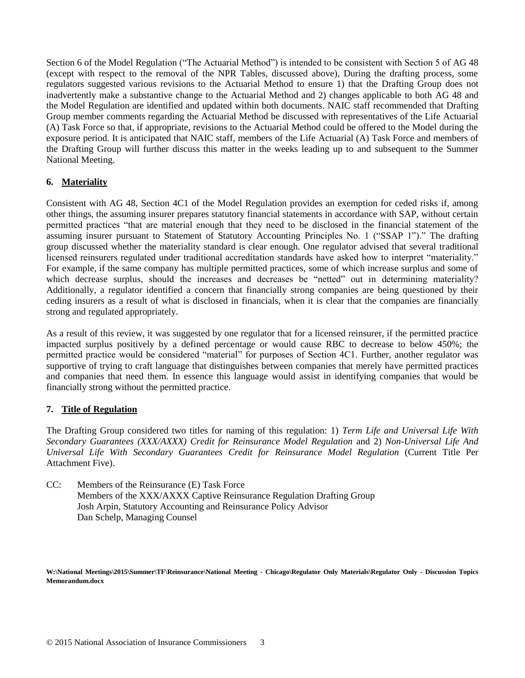Section 6 of the Model Regulation ("The Actuarial Method") is intended to be consistent with Section 5 of AG 48 (except with respect to the removal of the NPR Tables, discussed above), During the drafting process, some regulators suggested various revisions to the Actuarial Method to ensure 1) that the Drafting Group does not inadvertently make a substantive change to the Actuarial Method and 2) changes applicable to both AG 48 and the Model Regulation are identified and updated within both documents. NAIC staff recommended that Drafting Group member comments regarding the Actuarial Method be discussed with representatives of the Life Actuarial (A) Task Force so that, if appropriate, revisions to the Actuarial Method could be offered to the Model during the exposure period. It is anticipated that NAIC staff, members of the Life Actuarial (A) Task Force and members of the Drafting Group will further discuss this matter in the weeks leading up to and subsequent to the Summer National Meeting.

# **6. Materiality**

Consistent with AG 48, Section 4C1 of the Model Regulation provides an exemption for ceded risks if, among other things, the assuming insurer prepares statutory financial statements in accordance with SAP, without certain permitted practices "that are material enough that they need to be disclosed in the financial statement of the assuming insurer pursuant to Statement of Statutory Accounting Principles No. 1 ("SSAP 1")." The drafting group discussed whether the materiality standard is clear enough. One regulator advised that several traditional licensed reinsurers regulated under traditional accreditation standards have asked how to interpret "materiality." For example, if the same company has multiple permitted practices, some of which increase surplus and some of which decrease surplus, should the increases and decreases be "netted" out in determining materiality? Additionally, a regulator identified a concern that financially strong companies are being questioned by their ceding insurers as a result of what is disclosed in financials, when it is clear that the companies are financially strong and regulated appropriately.

As a result of this review, it was suggested by one regulator that for a licensed reinsurer, if the permitted practice impacted surplus positively by a defined percentage or would cause RBC to decrease to below 450%; the permitted practice would be considered "material" for purposes of Section 4C1. Further, another regulator was supportive of trying to craft language that distinguishes between companies that merely have permitted practices and companies that need them. In essence this language would assist in identifying companies that would be financially strong without the permitted practice.

### **7. Title of Regulation**

The Drafting Group considered two titles for naming of this regulation: 1) *Term Life and Universal Life With Secondary Guarantees (XXX/AXXX) Credit for Reinsurance Model Regulation* and 2) *Non-Universal Life And Universal Life With Secondary Guarantees Credit for Reinsurance Model Regulation* (Current Title Per Attachment Five).

CC: Members of the Reinsurance (E) Task Force Members of the XXX/AXXX Captive Reinsurance Regulation Drafting Group Josh Arpin, Statutory Accounting and Reinsurance Policy Advisor Dan Schelp, Managing Counsel

**W:\National Meetings\2015\Summer\TF\Reinsurance\National Meeting - Chicago\Regulator Only Materials\Regulator Only - Discussion Topics Memorandum.docx**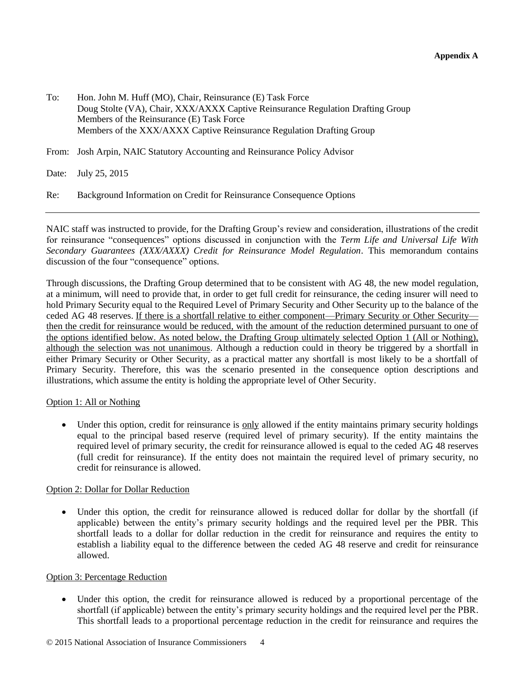- To: Hon. John M. Huff (MO), Chair, Reinsurance (E) Task Force Doug Stolte (VA), Chair, XXX/AXXX Captive Reinsurance Regulation Drafting Group Members of the Reinsurance (E) Task Force Members of the XXX/AXXX Captive Reinsurance Regulation Drafting Group
- From: Josh Arpin, NAIC Statutory Accounting and Reinsurance Policy Advisor

Date: July 25, 2015

Re: Background Information on Credit for Reinsurance Consequence Options

NAIC staff was instructed to provide, for the Drafting Group's review and consideration, illustrations of the credit for reinsurance "consequences" options discussed in conjunction with the *Term Life and Universal Life With Secondary Guarantees (XXX/AXXX) Credit for Reinsurance Model Regulation*. This memorandum contains discussion of the four "consequence" options.

Through discussions, the Drafting Group determined that to be consistent with AG 48, the new model regulation, at a minimum, will need to provide that, in order to get full credit for reinsurance, the ceding insurer will need to hold Primary Security equal to the Required Level of Primary Security and Other Security up to the balance of the ceded AG 48 reserves. If there is a shortfall relative to either component—Primary Security or Other Security then the credit for reinsurance would be reduced, with the amount of the reduction determined pursuant to one of the options identified below. As noted below, the Drafting Group ultimately selected Option 1 (All or Nothing), although the selection was not unanimous. Although a reduction could in theory be triggered by a shortfall in either Primary Security or Other Security, as a practical matter any shortfall is most likely to be a shortfall of Primary Security. Therefore, this was the scenario presented in the consequence option descriptions and illustrations, which assume the entity is holding the appropriate level of Other Security.

### Option 1: All or Nothing

 Under this option, credit for reinsurance is only allowed if the entity maintains primary security holdings equal to the principal based reserve (required level of primary security). If the entity maintains the required level of primary security, the credit for reinsurance allowed is equal to the ceded AG 48 reserves (full credit for reinsurance). If the entity does not maintain the required level of primary security, no credit for reinsurance is allowed.

### Option 2: Dollar for Dollar Reduction

 Under this option, the credit for reinsurance allowed is reduced dollar for dollar by the shortfall (if applicable) between the entity's primary security holdings and the required level per the PBR. This shortfall leads to a dollar for dollar reduction in the credit for reinsurance and requires the entity to establish a liability equal to the difference between the ceded AG 48 reserve and credit for reinsurance allowed.

### Option 3: Percentage Reduction

 Under this option, the credit for reinsurance allowed is reduced by a proportional percentage of the shortfall (if applicable) between the entity's primary security holdings and the required level per the PBR. This shortfall leads to a proportional percentage reduction in the credit for reinsurance and requires the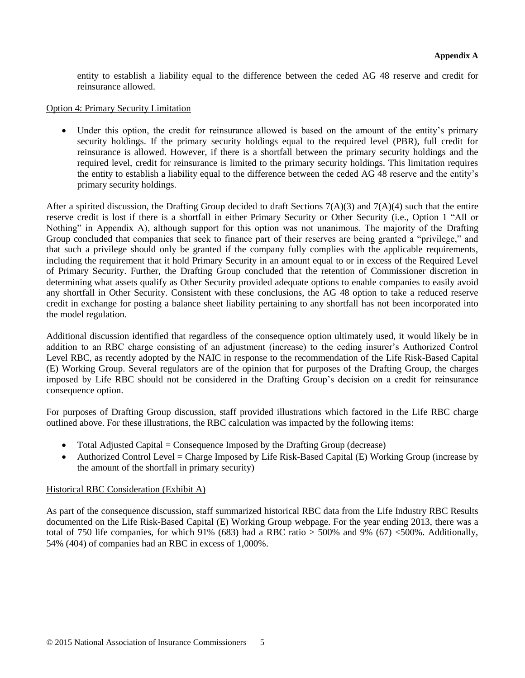entity to establish a liability equal to the difference between the ceded AG 48 reserve and credit for reinsurance allowed.

### Option 4: Primary Security Limitation

 Under this option, the credit for reinsurance allowed is based on the amount of the entity's primary security holdings. If the primary security holdings equal to the required level (PBR), full credit for reinsurance is allowed. However, if there is a shortfall between the primary security holdings and the required level, credit for reinsurance is limited to the primary security holdings. This limitation requires the entity to establish a liability equal to the difference between the ceded AG 48 reserve and the entity's primary security holdings.

After a spirited discussion, the Drafting Group decided to draft Sections  $7(A)(3)$  and  $7(A)(4)$  such that the entire reserve credit is lost if there is a shortfall in either Primary Security or Other Security (i.e., Option 1 "All or Nothing" in Appendix A), although support for this option was not unanimous. The majority of the Drafting Group concluded that companies that seek to finance part of their reserves are being granted a "privilege," and that such a privilege should only be granted if the company fully complies with the applicable requirements, including the requirement that it hold Primary Security in an amount equal to or in excess of the Required Level of Primary Security. Further, the Drafting Group concluded that the retention of Commissioner discretion in determining what assets qualify as Other Security provided adequate options to enable companies to easily avoid any shortfall in Other Security. Consistent with these conclusions, the AG 48 option to take a reduced reserve credit in exchange for posting a balance sheet liability pertaining to any shortfall has not been incorporated into the model regulation.

Additional discussion identified that regardless of the consequence option ultimately used, it would likely be in addition to an RBC charge consisting of an adjustment (increase) to the ceding insurer's Authorized Control Level RBC, as recently adopted by the NAIC in response to the recommendation of the Life Risk-Based Capital (E) Working Group. Several regulators are of the opinion that for purposes of the Drafting Group, the charges imposed by Life RBC should not be considered in the Drafting Group's decision on a credit for reinsurance consequence option.

For purposes of Drafting Group discussion, staff provided illustrations which factored in the Life RBC charge outlined above. For these illustrations, the RBC calculation was impacted by the following items:

- Total Adjusted Capital  $=$  Consequence Imposed by the Drafting Group (decrease)
- Authorized Control Level = Charge Imposed by Life Risk-Based Capital (E) Working Group (increase by the amount of the shortfall in primary security)

### Historical RBC Consideration (Exhibit A)

As part of the consequence discussion, staff summarized historical RBC data from the Life Industry RBC Results documented on the Life Risk-Based Capital (E) Working Group webpage. For the year ending 2013, there was a total of 750 life companies, for which 91% (683) had a RBC ratio  $>$  500% and 9% (67) <500%. Additionally, 54% (404) of companies had an RBC in excess of 1,000%.